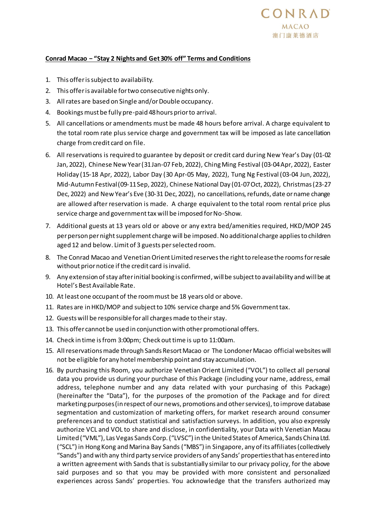## **Conrad Macao − "Stay 2 Nights and Get 30% off" Terms and Conditions**

- 1. This offer is subject to availability.
- 2. This offer is available for two consecutive nights only.
- 3. All rates are based on Single and/or Double occupancy.
- 4. Bookings must be fully pre-paid 48 hours prior to arrival.
- 5. All cancellations or amendments must be made 48 hours before arrival. A charge equivalent to the total room rate plus service charge and government tax will be imposed as late cancellation charge from credit card on file.
- 6. All reservations is required to guarantee by deposit or credit card during New Year's Day (01-02 Jan, 2022), Chinese New Year (31 Jan-07 Feb, 2022), Ching Ming Festival (03-04 Apr, 2022), Easter Holiday (15-18 Apr, 2022), Labor Day (30 Apr-05 May, 2022), Tung Ng Festival (03-04 Jun, 2022), Mid-Autumn Festival (09-11 Sep, 2022), Chinese National Day (01-07 Oct, 2022), Christmas (23-27 Dec, 2022) and New Year's Eve (30-31 Dec, 2022), no cancellations, refunds, date or name change are allowed after reservation is made. A charge equivalent to the total room rental price plus service charge and government tax will be imposed for No-Show.
- 7. Additional guests at 13 years old or above or any extra bed/amenities required, HKD/MOP 245 per person per night supplement charge will be imposed. No additional charge applies to children aged 12 and below. Limit of 3 guests per selected room.
- 8. The Conrad Macao and Venetian Orient Limited reserves the right to release the rooms for resale without prior notice if the credit card is invalid.
- 9. Any extension of stay after initial booking is confirmed, will be subject to availability and will be at Hotel's Best Available Rate.
- 10. At least one occupant of the room must be 18 years old or above.
- 11. Rates are in HKD/MOP and subject to 10% service charge and 5% Government tax.
- 12. Guests will be responsible for all charges made to their stay.
- 13. This offer cannot be used in conjunction with other promotional offers.
- 14. Check in time is from 3:00pm; Check out time is up to 11:00am.
- 15. All reservations made through Sands Resort Macao or The Londoner Macao official websites will not be eligible for any hotel membership point and stay accumulation.
- 16. By purchasing this Room, you authorize Venetian Orient Limited ("VOL") to collect all personal data you provide us during your purchase of this Package (including your name, address, email address, telephone number and any data related with your purchasing of this Package) (hereinafter the "Data"), for the purposes of the promotion of the Package and for direct marketing purposes (in respect of our news, promotions and other services), to improve database segmentation and customization of marketing offers, for market research around consumer preferences and to conduct statistical and satisfaction surveys. In addition, you also expressly authorize VCL and VOL to share and disclose, in confidentiality, your Data with Venetian Macau Limited ("VML"), Las Vegas Sands Corp. ("LVSC") in the United States of America, Sands China Ltd. ("SCL") in Hong Kong and Marina Bay Sands ("MBS") in Singapore, any of its affiliates (collectively "Sands") and with any third party service providers of any Sands' properties that has entered into a written agreement with Sands that is substantially similar to our privacy policy, for the above said purposes and so that you may be provided with more consistent and personalized experiences across Sands' properties. You acknowledge that the transfers authorized may